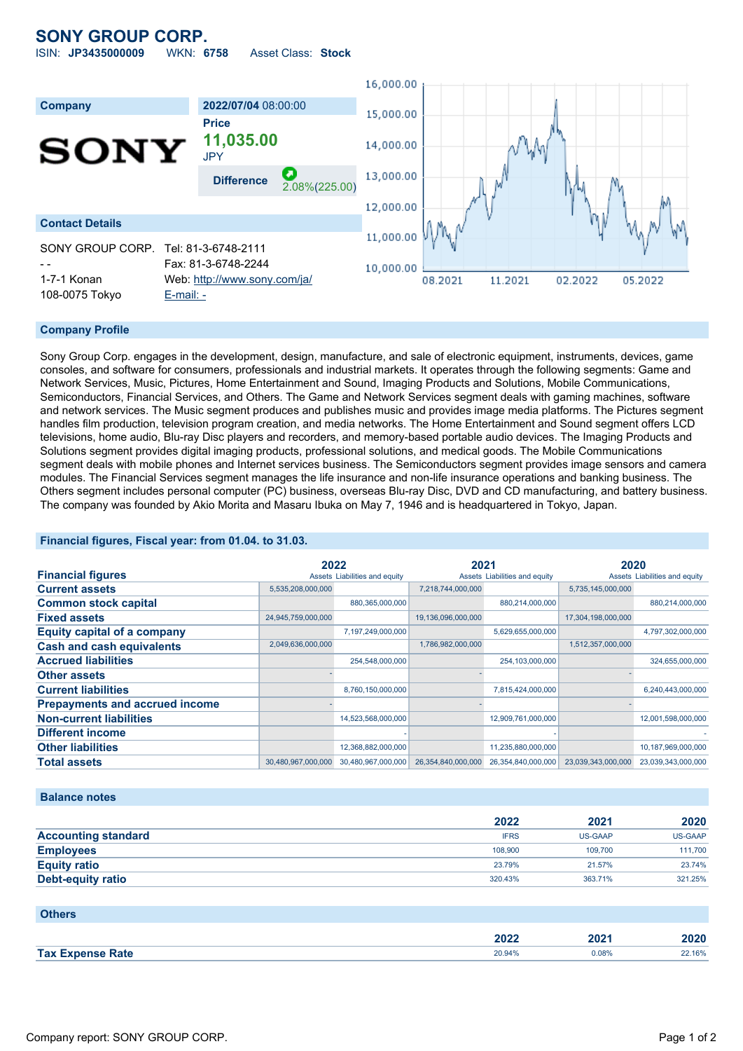## **SONY GROUP CORP.**

ISIN: **JP3435000009** WKN: **6758** Asset Class: **Stock**



#### **Company Profile**

Sony Group Corp. engages in the development, design, manufacture, and sale of electronic equipment, instruments, devices, game consoles, and software for consumers, professionals and industrial markets. It operates through the following segments: Game and Network Services, Music, Pictures, Home Entertainment and Sound, Imaging Products and Solutions, Mobile Communications, Semiconductors, Financial Services, and Others. The Game and Network Services segment deals with gaming machines, software and network services. The Music segment produces and publishes music and provides image media platforms. The Pictures segment handles film production, television program creation, and media networks. The Home Entertainment and Sound segment offers LCD televisions, home audio, Blu-ray Disc players and recorders, and memory-based portable audio devices. The Imaging Products and Solutions segment provides digital imaging products, professional solutions, and medical goods. The Mobile Communications segment deals with mobile phones and Internet services business. The Semiconductors segment provides image sensors and camera modules. The Financial Services segment manages the life insurance and non-life insurance operations and banking business. The Others segment includes personal computer (PC) business, overseas Blu-ray Disc, DVD and CD manufacturing, and battery business. The company was founded by Akio Morita and Masaru Ibuka on May 7, 1946 and is headquartered in Tokyo, Japan.

#### **Financial figures, Fiscal year: from 01.04. to 31.03.**

|                                       | 2022               |                               | 2021               |                               | 2020               |                               |
|---------------------------------------|--------------------|-------------------------------|--------------------|-------------------------------|--------------------|-------------------------------|
| <b>Financial figures</b>              |                    | Assets Liabilities and equity |                    | Assets Liabilities and equity |                    | Assets Liabilities and equity |
| <b>Current assets</b>                 | 5,535,208,000,000  |                               | 7,218,744,000,000  |                               | 5,735,145,000,000  |                               |
| <b>Common stock capital</b>           |                    | 880,365,000,000               |                    | 880,214,000,000               |                    | 880,214,000,000               |
| <b>Fixed assets</b>                   | 24,945,759,000,000 |                               | 19,136,096,000,000 |                               | 17,304,198,000,000 |                               |
| <b>Equity capital of a company</b>    |                    | 7,197,249,000,000             |                    | 5,629,655,000,000             |                    | 4,797,302,000,000             |
| <b>Cash and cash equivalents</b>      | 2,049,636,000,000  |                               | 1,786,982,000,000  |                               | 1,512,357,000,000  |                               |
| <b>Accrued liabilities</b>            |                    | 254,548,000,000               |                    | 254,103,000,000               |                    | 324,655,000,000               |
| <b>Other assets</b>                   |                    |                               |                    |                               |                    |                               |
| <b>Current liabilities</b>            |                    | 8,760,150,000,000             |                    | 7,815,424,000,000             |                    | 6,240,443,000,000             |
| <b>Prepayments and accrued income</b> |                    |                               |                    |                               |                    |                               |
| <b>Non-current liabilities</b>        |                    | 14,523,568,000,000            |                    | 12,909,761,000,000            |                    | 12,001,598,000,000            |
| <b>Different income</b>               |                    |                               |                    |                               |                    |                               |
| <b>Other liabilities</b>              |                    | 12,368,882,000,000            |                    | 11,235,880,000,000            |                    | 10,187,969,000,000            |
| <b>Total assets</b>                   | 30,480,967,000,000 | 30,480,967,000,000            | 26,354,840,000,000 | 26,354,840,000,000            | 23,039,343,000,000 | 23,039,343,000,000            |

### **Balance notes**

|                            | 2022        | 2021           | 2020           |
|----------------------------|-------------|----------------|----------------|
| <b>Accounting standard</b> | <b>IFRS</b> | <b>US-GAAP</b> | <b>US-GAAP</b> |
| <b>Employees</b>           | 108,900     | 109,700        | 111.700        |
| <b>Equity ratio</b>        | 23.79%      | 21.57%         | 23.74%         |
| <b>Debt-equity ratio</b>   | 320.43%     | 363.71%        | 321.25%        |
|                            |             |                |                |

| <b>Others</b>           |        |       |        |
|-------------------------|--------|-------|--------|
|                         | 2022   | 2021  | 2020   |
| <b>Tax Expense Rate</b> | 20.94% | 0.08% | 22.16% |